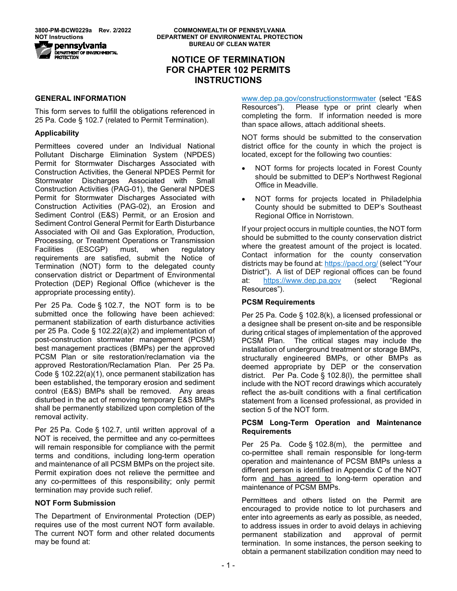DEPARTMENT OF ENVIRONMENTAL<br>PROTECTION

# **NOTICE OF TERMINATION FOR CHAPTER 102 PERMITS INSTRUCTIONS**

# **GENERAL INFORMATION**

This form serves to fulfill the obligations referenced in 25 Pa. Code § 102.7 (related to Permit Termination).

# **Applicability**

Permittees covered under an Individual National Pollutant Discharge Elimination System (NPDES) Permit for Stormwater Discharges Associated with Construction Activities, the General NPDES Permit for Stormwater Discharges Associated with Small Construction Activities (PAG-01), the General NPDES Permit for Stormwater Discharges Associated with Construction Activities (PAG-02), an Erosion and Sediment Control (E&S) Permit, or an Erosion and Sediment Control General Permit for Earth Disturbance Associated with Oil and Gas Exploration, Production, Processing, or Treatment Operations or Transmission Facilities (ESCGP) must, when regulatory requirements are satisfied, submit the Notice of Termination (NOT) form to the delegated county conservation district or Department of Environmental Protection (DEP) Regional Office (whichever is the appropriate processing entity).

Per 25 Pa. Code § 102.7, the NOT form is to be submitted once the following have been achieved: permanent stabilization of earth disturbance activities per 25 Pa. Code § 102.22(a)(2) and implementation of post-construction stormwater management (PCSM) best management practices (BMPs) per the approved PCSM Plan or site restoration/reclamation via the approved Restoration/Reclamation Plan. Per 25 Pa. Code § 102.22(a)(1), once permanent stabilization has been established, the temporary erosion and sediment control (E&S) BMPs shall be removed. Any areas disturbed in the act of removing temporary E&S BMPs shall be permanently stabilized upon completion of the removal activity.

Per 25 Pa. Code § 102.7, until written approval of a NOT is received, the permittee and any co-permittees will remain responsible for compliance with the permit terms and conditions, including long-term operation and maintenance of all PCSM BMPs on the project site. Permit expiration does not relieve the permittee and any co-permittees of this responsibility; only permit termination may provide such relief.

# **NOT Form Submission**

The Department of Environmental Protection (DEP) requires use of the most current NOT form available. The current NOT form and other related documents may be found at:

[www.dep.pa.gov/constructionstormwater](http://www.dep.pa.gov/constructionstormwater) (select "E&S Resources"). Please type or print clearly when completing the form. If information needed is more than space allows, attach additional sheets.

NOT forms should be submitted to the conservation district office for the county in which the project is located, except for the following two counties:

- NOT forms for projects located in Forest County should be submitted to DEP's Northwest Regional Office in Meadville.
- NOT forms for projects located in Philadelphia County should be submitted to DEP's Southeast Regional Office in Norristown.

If your project occurs in multiple counties, the NOT form should be submitted to the county conservation district where the greatest amount of the project is located. Contact information for the county conservation districts may be found at:<https://pacd.org/> (select "Your District"). A list of DEP regional offices can be found at: [https://www.dep.pa.gov](https://www.dep.pa.gov/) (select "Regional Resources").

# **PCSM Requirements**

Per 25 Pa. Code § 102.8(k), a licensed professional or a designee shall be present on-site and be responsible during critical stages of implementation of the approved PCSM Plan. The critical stages may include the installation of underground treatment or storage BMPs, structurally engineered BMPs, or other BMPs as deemed appropriate by DEP or the conservation district. Per Pa. Code § 102.8(l), the permittee shall include with the NOT record drawings which accurately reflect the as-built conditions with a final certification statement from a licensed professional, as provided in section 5 of the NOT form.

#### **PCSM Long-Term Operation and Maintenance Requirements**

Per 25 Pa. Code § 102.8(m), the permittee and co-permittee shall remain responsible for long-term operation and maintenance of PCSM BMPs unless a different person is identified in Appendix C of the NOT form and has agreed to long-term operation and maintenance of PCSM BMPs.

Permittees and others listed on the Permit are encouraged to provide notice to lot purchasers and enter into agreements as early as possible, as needed, to address issues in order to avoid delays in achieving permanent stabilization and approval of permit termination. In some instances, the person seeking to obtain a permanent stabilization condition may need to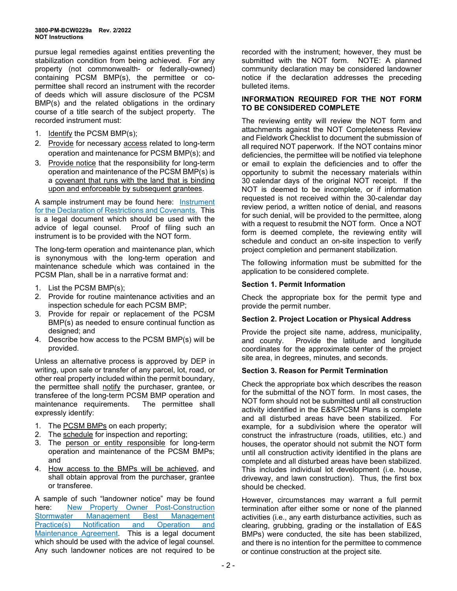pursue legal remedies against entities preventing the stabilization condition from being achieved. For any property (not commonwealth- or federally-owned) containing PCSM BMP(s), the permittee or copermittee shall record an instrument with the recorder of deeds which will assure disclosure of the PCSM BMP(s) and the related obligations in the ordinary course of a title search of the subject property. The recorded instrument must:

- 1. Identify the PCSM BMP(s);
- 2. Provide for necessary access related to long-term operation and maintenance for PCSM BMP(s); and
- 3. Provide notice that the responsibility for long-term operation and maintenance of the PCSM BMP(s) is a covenant that runs with the land that is binding upon and enforceable by subsequent grantees.

A sample instrument may be found here: [Instrument](http://files.dep.state.pa.us/Water/BPNPSM/StormwaterManagement/ConstructionStormwater/InstrumentDeclarationRestrictionsCovenants.pdf)  [for the Declaration of Restrictions and Covenants.](http://files.dep.state.pa.us/Water/BPNPSM/StormwaterManagement/ConstructionStormwater/InstrumentDeclarationRestrictionsCovenants.pdf) This is a legal document which should be used with the advice of legal counsel. Proof of filing such an instrument is to be provided with the NOT form.

The long-term operation and maintenance plan, which is synonymous with the long-term operation and maintenance schedule which was contained in the PCSM Plan, shall be in a narrative format and:

- 1. List the PCSM BMP(s);
- 2. Provide for routine maintenance activities and an inspection schedule for each PCSM BMP;
- 3. Provide for repair or replacement of the PCSM BMP(s) as needed to ensure continual function as designed; and
- 4. Describe how access to the PCSM BMP(s) will be provided.

Unless an alternative process is approved by DEP in writing, upon sale or transfer of any parcel, lot, road, or other real property included within the permit boundary, the permittee shall notify the purchaser, grantee, or transferee of the long-term PCSM BMP operation and maintenance requirements. The permittee shall expressly identify:

- 1. The PCSM BMPs on each property;
- 2. The schedule for inspection and reporting;
- 3. The person or entity responsible for long-term operation and maintenance of the PCSM BMPs; and
- 4. How access to the BMPs will be achieved, and shall obtain approval from the purchaser, grantee or transferee.

A sample of such "landowner notice" may be found here: [New Property Owner Post-Construction](http://files.dep.state.pa.us/Water/BPNPSM/StormwaterManagement/ConstructionStormwater/NewPropertyOwnerNotificationForm.pdf)  [Stormwater Management Best Management](http://files.dep.state.pa.us/Water/BPNPSM/StormwaterManagement/ConstructionStormwater/NewPropertyOwnerNotificationForm.pdf)  [Practice\(s\) Notification and Operation and](http://files.dep.state.pa.us/Water/BPNPSM/StormwaterManagement/ConstructionStormwater/NewPropertyOwnerNotificationForm.pdf)  [Maintenance Agreement.](http://files.dep.state.pa.us/Water/BPNPSM/StormwaterManagement/ConstructionStormwater/NewPropertyOwnerNotificationForm.pdf) This is a legal document which should be used with the advice of legal counsel. Any such landowner notices are not required to be

recorded with the instrument; however, they must be submitted with the NOT form. NOTE: A planned community declaration may be considered landowner notice if the declaration addresses the preceding bulleted items.

#### **INFORMATION REQUIRED FOR THE NOT FORM TO BE CONSIDERED COMPLETE**

The reviewing entity will review the NOT form and attachments against the NOT Completeness Review and Fieldwork Checklist to document the submission of all required NOT paperwork. If the NOT contains minor deficiencies, the permittee will be notified via telephone or email to explain the deficiencies and to offer the opportunity to submit the necessary materials within 30 calendar days of the original NOT receipt. If the NOT is deemed to be incomplete, or if information requested is not received within the 30-calendar day review period, a written notice of denial, and reasons for such denial, will be provided to the permittee, along with a request to resubmit the NOT form. Once a NOT form is deemed complete, the reviewing entity will schedule and conduct an on-site inspection to verify project completion and permanent stabilization.

The following information must be submitted for the application to be considered complete.

### **Section 1. Permit Information**

Check the appropriate box for the permit type and provide the permit number.

#### **Section 2. Project Location or Physical Address**

Provide the project site name, address, municipality, and county. Provide the latitude and longitude coordinates for the approximate center of the project site area, in degrees, minutes, and seconds.

#### **Section 3. Reason for Permit Termination**

Check the appropriate box which describes the reason for the submittal of the NOT form. In most cases, the NOT form should not be submitted until all construction activity identified in the E&S/PCSM Plans is complete and all disturbed areas have been stabilized. For example, for a subdivision where the operator will construct the infrastructure (roads, utilities, etc.) and houses, the operator should not submit the NOT form until all construction activity identified in the plans are complete and all disturbed areas have been stabilized. This includes individual lot development (i.e. house, driveway, and lawn construction). Thus, the first box should be checked.

However, circumstances may warrant a full permit termination after either some or none of the planned activities (i.e., any earth disturbance activities, such as clearing, grubbing, grading or the installation of E&S BMPs) were conducted, the site has been stabilized, and there is no intention for the permittee to commence or continue construction at the project site.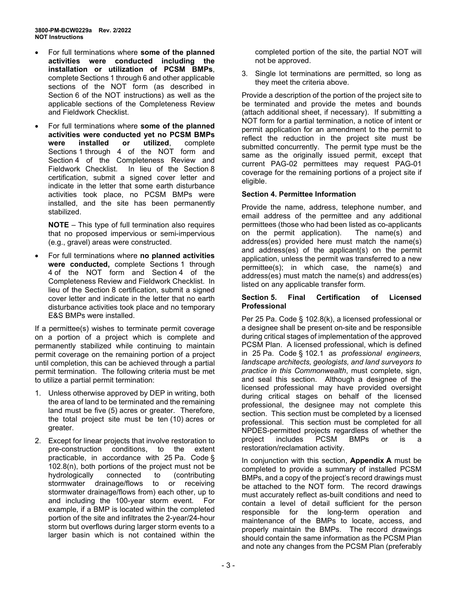- For full terminations where **some of the planned activities were conducted including the installation or utilization of PCSM BMPs**, complete Sections 1 through 6 and other applicable sections of the NOT form (as described in Section 6 of the NOT instructions) as well as the applicable sections of the Completeness Review and Fieldwork Checklist.
- For full terminations where **some of the planned activities were conducted yet no PCSM BMPs**  complete Sections 1 through 4 of the NOT form and Section 4 of the Completeness Review and Fieldwork Checklist. In lieu of the Section 8 certification, submit a signed cover letter and indicate in the letter that some earth disturbance activities took place, no PCSM BMPs were installed, and the site has been permanently stabilized.

**NOTE** – This type of full termination also requires that no proposed impervious or semi-impervious (e.g., gravel) areas were constructed.

• For full terminations where **no planned activities were conducted,** complete Sections 1 through 4 of the NOT form and Section 4 of the Completeness Review and Fieldwork Checklist. In lieu of the Section 8 certification, submit a signed cover letter and indicate in the letter that no earth disturbance activities took place and no temporary E&S BMPs were installed.

If a permittee(s) wishes to terminate permit coverage on a portion of a project which is complete and permanently stabilized while continuing to maintain permit coverage on the remaining portion of a project until completion, this can be achieved through a partial permit termination. The following criteria must be met to utilize a partial permit termination:

- 1. Unless otherwise approved by DEP in writing, both the area of land to be terminated and the remaining land must be five (5) acres or greater. Therefore, the total project site must be ten (10) acres or greater.
- 2. Except for linear projects that involve restoration to pre-construction conditions, to the extent practicable, in accordance with 25 Pa. Code § 102.8(n), both portions of the project must not be hydrologically connected to (contributing stormwater drainage/flows to or receiving stormwater drainage/flows from) each other, up to and including the 100-year storm event. For example, if a BMP is located within the completed portion of the site and infiltrates the 2-year/24-hour storm but overflows during larger storm events to a larger basin which is not contained within the

completed portion of the site, the partial NOT will not be approved.

3. Single lot terminations are permitted, so long as they meet the criteria above.

Provide a description of the portion of the project site to be terminated and provide the metes and bounds (attach additional sheet, if necessary). If submitting a NOT form for a partial termination, a notice of intent or permit application for an amendment to the permit to reflect the reduction in the project site must be submitted concurrently. The permit type must be the same as the originally issued permit, except that current PAG-02 permittees may request PAG-01 coverage for the remaining portions of a project site if eligible.

### **Section 4. Permittee Information**

Provide the name, address, telephone number, and email address of the permittee and any additional permittees (those who had been listed as co-applicants<br>on the permit application). The name(s) and on the permit application). address(es) provided here must match the name(s) and address(es) of the applicant(s) on the permit application, unless the permit was transferred to a new permittee(s); in which case, the name(s) and address(es) must match the name(s) and address(es) listed on any applicable transfer form.

### **Section 5. Final Certification of Licensed Professional**

Per 25 Pa. Code § 102.8(k), a licensed professional or a designee shall be present on-site and be responsible during critical stages of implementation of the approved PCSM Plan. A licensed professional, which is defined in 25 Pa. Code § 102.1 as *professional engineers, landscape architects, geologists, and land surveyors to practice in this Commonwealth*, must complete, sign, and seal this section. Although a designee of the licensed professional may have provided oversight during critical stages on behalf of the licensed professional, the designee may not complete this section. This section must be completed by a licensed professional. This section must be completed for all NPDES-permitted projects regardless of whether the project includes PCSM BMPs or is a restoration/reclamation activity.

In conjunction with this section, **Appendix A** must be completed to provide a summary of installed PCSM BMPs, and a copy of the project's record drawings must be attached to the NOT form. The record drawings must accurately reflect as-built conditions and need to contain a level of detail sufficient for the person responsible for the long-term operation and maintenance of the BMPs to locate, access, and properly maintain the BMPs. The record drawings should contain the same information as the PCSM Plan and note any changes from the PCSM Plan (preferably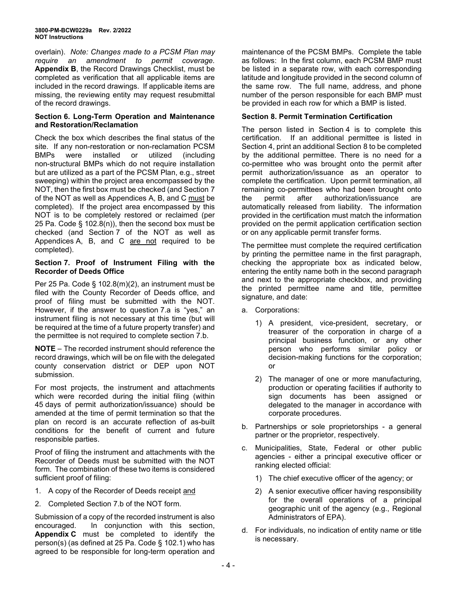overlain). *Note: Changes made to a PCSM Plan may require an amendment to permit coverage.* **Appendix B**, the Record Drawings Checklist, must be completed as verification that all applicable items are included in the record drawings. If applicable items are missing, the reviewing entity may request resubmittal of the record drawings.

### **Section 6. Long-Term Operation and Maintenance and Restoration/Reclamation**

Check the box which describes the final status of the site. If any non-restoration or non-reclamation PCSM BMPs were installed or utilized (including non-structural BMPs which do not require installation but are utilized as a part of the PCSM Plan, e.g., street sweeping) within the project area encompassed by the NOT, then the first box must be checked (and Section 7 of the NOT as well as Appendices A, B, and C must be completed). If the project area encompassed by this NOT is to be completely restored or reclaimed (per 25 Pa. Code  $\S$  102.8(n)), then the second box must be checked (and Section 7 of the NOT as well as Appendices A, B, and C are not required to be completed).

# **Section 7. Proof of Instrument Filing with the Recorder of Deeds Office**

Per 25 Pa. Code § 102.8(m)(2), an instrument must be filed with the County Recorder of Deeds office, and proof of filing must be submitted with the NOT. However, if the answer to question 7.a is "yes," an instrument filing is not necessary at this time (but will be required at the time of a future property transfer) and the permittee is not required to complete section 7.b.

**NOTE** – The recorded instrument should reference the record drawings, which will be on file with the delegated county conservation district or DEP upon NOT submission.

For most projects, the instrument and attachments which were recorded during the initial filing (within 45 days of permit authorization/issuance) should be amended at the time of permit termination so that the plan on record is an accurate reflection of as-built conditions for the benefit of current and future responsible parties.

Proof of filing the instrument and attachments with the Recorder of Deeds must be submitted with the NOT form. The combination of these two items is considered sufficient proof of filing:

- 1. A copy of the Recorder of Deeds receipt and
- 2. Completed Section 7.b of the NOT form.

Submission of a copy of the recorded instrument is also encouraged. In conjunction with this section, **Appendix C** must be completed to identify the person(s) (as defined at 25 Pa. Code § 102.1) who has agreed to be responsible for long-term operation and

maintenance of the PCSM BMPs. Complete the table as follows: In the first column, each PCSM BMP must be listed in a separate row, with each corresponding latitude and longitude provided in the second column of the same row. The full name, address, and phone number of the person responsible for each BMP must be provided in each row for which a BMP is listed.

### **Section 8. Permit Termination Certification**

The person listed in Section 4 is to complete this certification. If an additional permittee is listed in Section 4, print an additional Section 8 to be completed by the additional permittee. There is no need for a co-permittee who was brought onto the permit after permit authorization/issuance as an operator to complete the certification. Upon permit termination, all remaining co-permittees who had been brought onto the permit after authorization/issuance are automatically released from liability. The information provided in the certification must match the information provided on the permit application certification section or on any applicable permit transfer forms.

The permittee must complete the required certification by printing the permittee name in the first paragraph, checking the appropriate box as indicated below, entering the entity name both in the second paragraph and next to the appropriate checkbox, and providing the printed permittee name and title, permittee signature, and date:

- a. Corporations:
	- 1) A president, vice-president, secretary, or treasurer of the corporation in charge of a principal business function, or any other person who performs similar policy or decision-making functions for the corporation; or
	- 2) The manager of one or more manufacturing, production or operating facilities if authority to sign documents has been assigned or delegated to the manager in accordance with corporate procedures.
- b. Partnerships or sole proprietorships a general partner or the proprietor, respectively.
- c. Municipalities, State, Federal or other public agencies - either a principal executive officer or ranking elected official:
	- 1) The chief executive officer of the agency; or
	- 2) A senior executive officer having responsibility for the overall operations of a principal geographic unit of the agency (e.g., Regional Administrators of EPA).
- d. For individuals, no indication of entity name or title is necessary.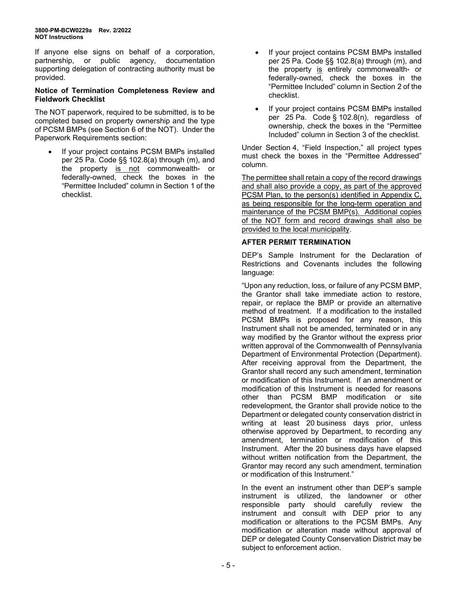If anyone else signs on behalf of a corporation, partnership, or public agency, documentation supporting delegation of contracting authority must be provided.

#### **Notice of Termination Completeness Review and Fieldwork Checklist**

The NOT paperwork, required to be submitted, is to be completed based on property ownership and the type of PCSM BMPs (see Section 6 of the NOT). Under the Paperwork Requirements section:

If your project contains PCSM BMPs installed per 25 Pa. Code §§ 102.8(a) through (m), and the property <u>is not</u> commonwealth- or federally-owned, check the boxes in the "Permittee Included" column in Section 1 of the checklist.

- If your project contains PCSM BMPs installed per 25 Pa. Code §§ 102.8(a) through (m), and the property is entirely commonwealth- or federally-owned, check the boxes in the "Permittee Included" column in Section 2 of the checklist.
- If your project contains PCSM BMPs installed per 25 Pa. Code § 102.8(n), regardless of ownership, check the boxes in the "Permittee Included" column in Section 3 of the checklist.

Under Section 4, "Field Inspection," all project types must check the boxes in the "Permittee Addressed" column.

The permittee shall retain a copy of the record drawings and shall also provide a copy, as part of the approved PCSM Plan, to the person(s) identified in Appendix C, as being responsible for the long-term operation and maintenance of the PCSM BMP(s). Additional copies of the NOT form and record drawings shall also be provided to the local municipality.

# **AFTER PERMIT TERMINATION**

DEP's Sample Instrument for the Declaration of Restrictions and Covenants includes the following language:

"Upon any reduction, loss, or failure of any PCSM BMP, the Grantor shall take immediate action to restore, repair, or replace the BMP or provide an alternative method of treatment. If a modification to the installed PCSM BMPs is proposed for any reason, this Instrument shall not be amended, terminated or in any way modified by the Grantor without the express prior written approval of the Commonwealth of Pennsylvania Department of Environmental Protection (Department). After receiving approval from the Department, the Grantor shall record any such amendment, termination or modification of this Instrument. If an amendment or modification of this Instrument is needed for reasons other than PCSM BMP modification or site redevelopment, the Grantor shall provide notice to the Department or delegated county conservation district in writing at least 20 business days prior, unless otherwise approved by Department, to recording any amendment, termination or modification of this Instrument. After the 20 business days have elapsed without written notification from the Department, the Grantor may record any such amendment, termination or modification of this Instrument."

In the event an instrument other than DEP's sample instrument is utilized, the landowner or other responsible party should carefully review the instrument and consult with DEP prior to any modification or alterations to the PCSM BMPs. Any modification or alteration made without approval of DEP or delegated County Conservation District may be subject to enforcement action.